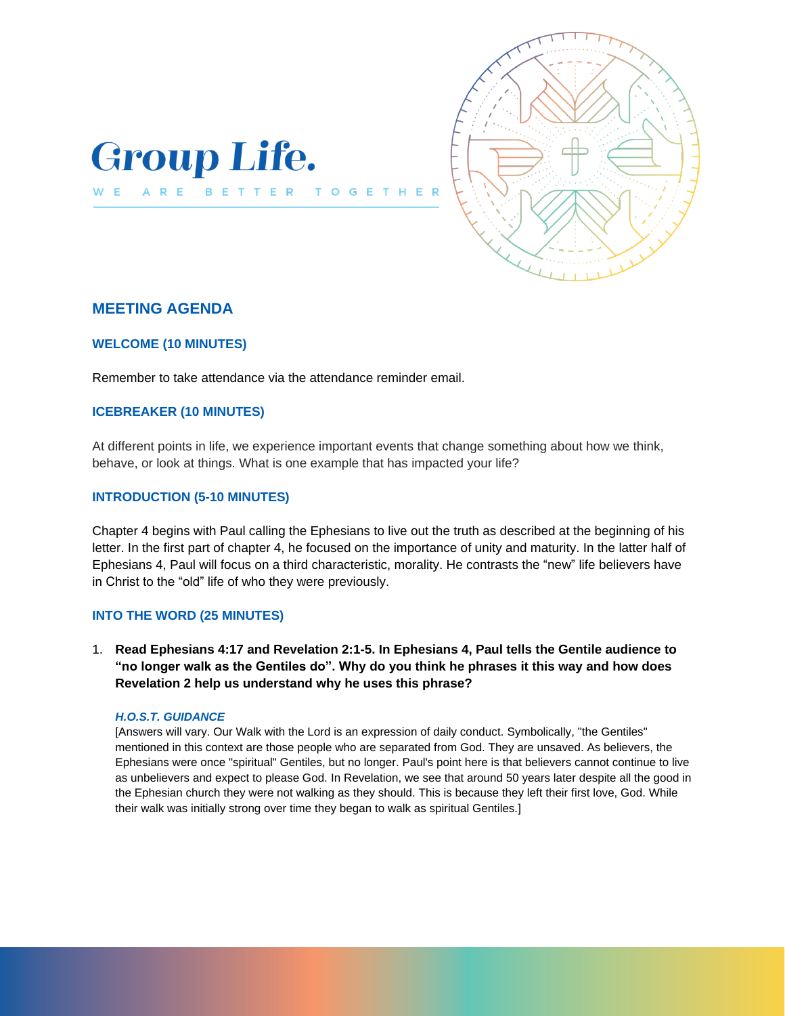

WE ARE BETTER



# **MEETING AGENDA**

## **WELCOME (10 MINUTES)**

Remember to take attendance via the attendance reminder email.

 $T<sub>0</sub>$ 

 $\mathsf{G}$ 

### **ICEBREAKER (10 MINUTES)**

At different points in life, we experience important events that change something about how we think, behave, or look at things. What is one example that has impacted your life?

### **INTRODUCTION (5-10 MINUTES)**

Chapter 4 begins with Paul calling the Ephesians to live out the truth as described at the beginning of his letter. In the first part of chapter 4, he focused on the importance of unity and maturity. In the latter half of Ephesians 4, Paul will focus on a third characteristic, morality. He contrasts the "new" life believers have in Christ to the "old" life of who they were previously.

#### **INTO THE WORD (25 MINUTES)**

1. **Read Ephesians 4:17 and Revelation 2:1-5. In Ephesians 4, Paul tells the Gentile audience to "no longer walk as the Gentiles do". Why do you think he phrases it this way and how does Revelation 2 help us understand why he uses this phrase?**

#### *H.O.S.T. GUIDANCE*

[Answers will vary. Our Walk with the Lord is an expression of daily conduct. Symbolically, "the Gentiles" mentioned in this context are those people who are separated from God. They are unsaved. As believers, the Ephesians were once "spiritual" Gentiles, but no longer. Paul's point here is that believers cannot continue to live as unbelievers and expect to please God. In Revelation, we see that around 50 years later despite all the good in the Ephesian church they were not walking as they should. This is because they left their first love, God. While their walk was initially strong over time they began to walk as spiritual Gentiles.]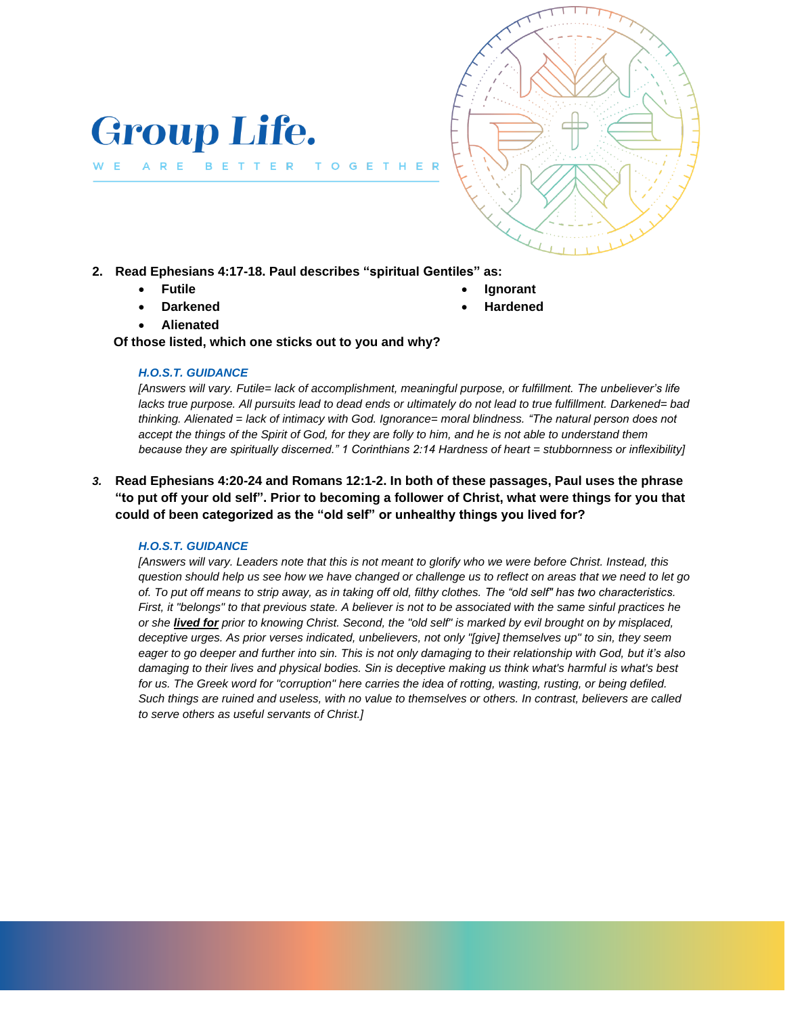

**2. Read Ephesians 4:17-18. Paul describes "spiritual Gentiles" as:** 

T O G

• **Futile** 

ARE

W E

• **Darkened** 

• **Ignorant** • **Hardened** 

• **Alienated** 

 **Of those listed, which one sticks out to you and why?**

### *H.O.S.T. GUIDANCE*

**Group Life.** 

BETTER

*[Answers will vary. Futile= lack of accomplishment, meaningful purpose, or fulfillment. The unbeliever's life lacks true purpose. All pursuits lead to dead ends or ultimately do not lead to true fulfillment. Darkened= bad thinking. Alienated = lack of intimacy with God. Ignorance= moral blindness. "The natural person does not accept the things of the Spirit of God, for they are folly to him, and he is not able to understand them because they are spiritually discerned." 1 Corinthians 2:14 Hardness of heart = stubbornness or inflexibility]*

HER

*3.* **Read Ephesians 4:20-24 and Romans 12:1-2. In both of these passages, Paul uses the phrase "to put off your old self". Prior to becoming a follower of Christ, what were things for you that could of been categorized as the "old self" or unhealthy things you lived for?**

## *H.O.S.T. GUIDANCE*

*[Answers will vary. Leaders note that this is not meant to glorify who we were before Christ. Instead, this question should help us see how we have changed or challenge us to reflect on areas that we need to let go of. To put off means to strip away, as in taking off old, filthy clothes. The "old self" has two characteristics. First, it "belongs" to that previous state. A believer is not to be associated with the same sinful practices he or she lived for prior to knowing Christ. Second, the "old self" is marked by evil brought on by misplaced, deceptive urges. As prior verses indicated, unbelievers, not only "[give] themselves up" to sin, they seem eager to go deeper and further into sin. This is not only damaging to their relationship with God, but it's also damaging to their lives and physical bodies. Sin is deceptive making us think what's harmful is what's best*  for us. The Greek word for "corruption" here carries the idea of rotting, wasting, rusting, or being defiled. *Such things are ruined and useless, with no value to themselves or others. In contrast, believers are called to serve others as useful servants of Christ.]*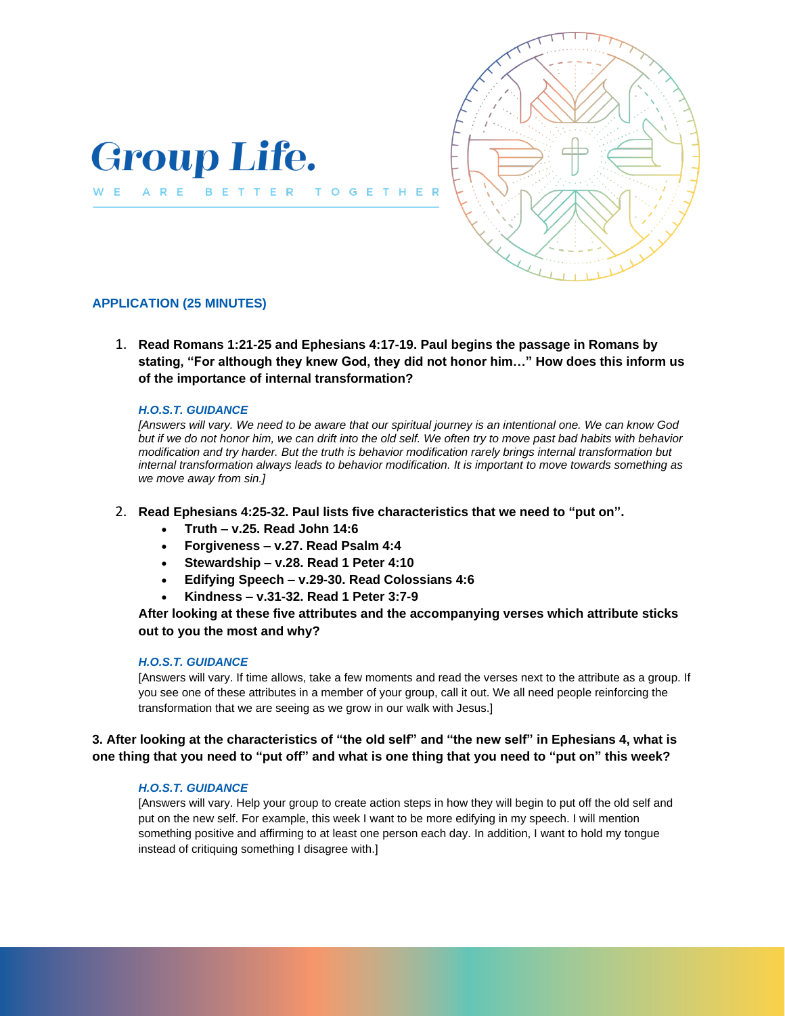



## **APPLICATION (25 MINUTES)**

1. **Read Romans 1:21-25 and Ephesians 4:17-19. Paul begins the passage in Romans by stating, "For although they knew God, they did not honor him…" How does this inform us of the importance of internal transformation?**

 $\mathbf{T}$ 

#### *H.O.S.T. GUIDANCE*

*[Answers will vary. We need to be aware that our spiritual journey is an intentional one. We can know God but if we do not honor him, we can drift into the old self. We often try to move past bad habits with behavior modification and try harder. But the truth is behavior modification rarely brings internal transformation but internal transformation always leads to behavior modification. It is important to move towards something as we move away from sin.]*

#### 2. **Read Ephesians 4:25-32. Paul lists five characteristics that we need to "put on".**

- **Truth – v.25. Read John 14:6**
- **Forgiveness – v.27. Read Psalm 4:4**
- **Stewardship – v.28. Read 1 Peter 4:10**
- **Edifying Speech – v.29-30. Read Colossians 4:6**
- **Kindness – v.31-32. Read 1 Peter 3:7-9**

### **After looking at these five attributes and the accompanying verses which attribute sticks out to you the most and why?**

#### *H.O.S.T. GUIDANCE*

[Answers will vary. If time allows, take a few moments and read the verses next to the attribute as a group. If you see one of these attributes in a member of your group, call it out. We all need people reinforcing the transformation that we are seeing as we grow in our walk with Jesus.]

## **3. After looking at the characteristics of "the old self" and "the new self" in Ephesians 4, what is one thing that you need to "put off" and what is one thing that you need to "put on" this week?**

#### *H.O.S.T. GUIDANCE*

[Answers will vary. Help your group to create action steps in how they will begin to put off the old self and put on the new self. For example, this week I want to be more edifying in my speech. I will mention something positive and affirming to at least one person each day. In addition, I want to hold my tongue instead of critiquing something I disagree with.]